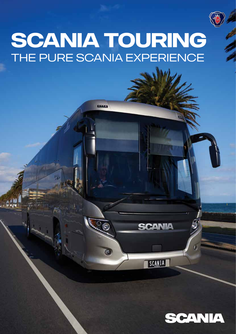

# **SCANIA TOURING** THE PURE SCANIA EXPERIENCE

 $\overline{\mathbb{R}}$ 



**ANIA** 

SCANIA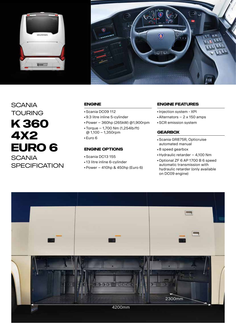

# **SCANIA TOURING K 360 4X2 EURO 6 SCANIA SPECIFICATION**

#### **Engine**

- Scania DC09 112
- 9.3 litre inline 5-cylinder
- Power 360hp (265kW) @1,900rpm
- $\bullet$  Torque 1,700 Nm (1,254lb/ft) @ 1,100 – 1,350rpm
- Euro 6

## **Engine options**

- Scania DC13 155
- 13 litre inline 6-cylinder
- Power 410hp & 450hp (Euro 6)

#### **Engine Features**

- Injection system XPI
- Alternators 2 x 150 amps
- SCR emission system

## **Gearbox**

- Scania GR875R, Opticruise automated manual
- 8 speed gearbox
- Hydraulic retarder 4,100 Nm
- Optional ZF 6 AP 1700 B 6 speed automatic transmission with hydraulic retarder (only available on DC09 engine)

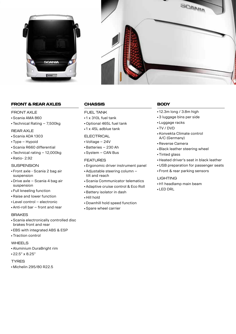



## **Front & Rear Axles**

## FRONT AXI F

- Scania AMA 860
- Technical Rating 7,500kg

#### Rear Axle

- Scania ADA 1303
- Type Hypoid
- Scania R660 differential
- Technical rating 12,000kg
- Ratio- 2.92

#### **SUSPENSION**

- Front axle Scania 2 bag air suspension
- Drive axle Scania 4 bag air suspension
- Full kneeling function
- Raise and lower function
- Level control electronic
- Anti-roll bar front and rear

#### **BRAKES**

- Scania electronically controlled disc brakes front and rear
- EBS with integrated ABS & ESP
- Traction control
- WHEEL<sub>S</sub>
- Aluminium DuraBright rim
- 22.5" x 8.25"

#### **TYRES**

■ Michelin 295/80 R22.5

# **Chassis**

#### FUFL TANK

- 1 x 310L fuel tank
- Optional 465L fuel tank
- 1 x 45L adblue tank

#### **ELECTRICAL**

- Voltage 24V
- Batteries 230 Ah
- System CAN Bus

#### **FEATURES**

- Ergonomic driver instrument panel
- Adjustable steering column tilt and reach
- Scania Communicator telematics
- Adaptive cruise control & Eco Roll
- Battery isolator in dash
- Hill hold
- Downhill hold speed function
- Spare wheel carrier

# **body**

- 12.3m long / 3.8m high
- 3 luggage bins per side
- Luggage racks
- TV / DVD
- Konvekta Climate control A/C (Germany)
- Reverse Camera
- Black leather steering wheel
- Tinted glass
- Heated driver's seat in black leather
- USB preparation for passenger seats
- Front & rear parking sensors

#### **LIGHTING**

- H1 headlamp main beam
- LED DRL